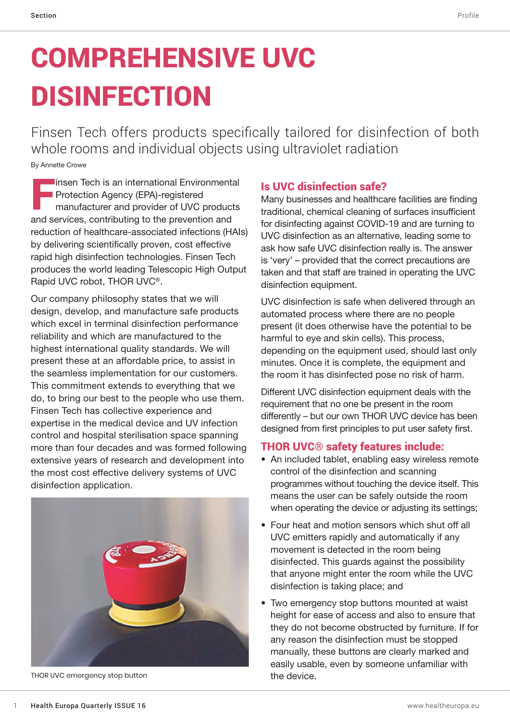# COMPREHENSIVE UVC DISINFECTION

Finsen Tech offers products specifically tailored for disinfection of both whole rooms and individual objects using ultraviolet radiation

By Annette Crowe

Finsen Tech is an international Environmental<br>
Protection Agency (EPA)-registered<br>
manufacturer and provider of UVC products<br>
and continues contributing to the provention and Protection Agency (EPA)-registered and services, contributing to the prevention and reduction of healthcare-associated infections (HAIs) by delivering scientifically proven, cost effective rapid high disinfection technologies. Finsen Tech produces the world leading Telescopic High Output Rapid UVC robot, THOR UVC®.

Our company philosophy states that we will design, develop, and manufacture safe products which excel in terminal disinfection performance reliability and which are manufactured to the highest international quality standards. We will present these at an affordable price, to assist in the seamless implementation for our customers. This commitment extends to everything that we do, to bring our best to the people who use them. Finsen Tech has collective experience and expertise in the medical device and UV infection control and hospital sterilisation space spanning more than four decades and was formed following extensive years of research and development into the most cost effective delivery systems of UVC disinfection application.



THOR UVC emergency stop button

## Is UVC disinfection safe?

Many businesses and healthcare facilities are finding traditional, chemical cleaning of surfaces insufficient for disinfecting against COVID-19 and are turning to UVC disinfection as an alternative, leading some to ask how safe UVC disinfection really is. The answer is 'very' – provided that the correct precautions are taken and that staff are trained in operating the UVC disinfection equipment.

UVC disinfection is safe when delivered through an automated process where there are no people present (it does otherwise have the potential to be harmful to eye and skin cells). This process, depending on the equipment used, should last only minutes. Once it is complete, the equipment and the room it has disinfected pose no risk of harm.

Different UVC disinfection equipment deals with the requirement that no one be present in the room differently – but our own THOR UVC device has been designed from first principles to put user safety first.

#### THOR UVC® safety features include:

- An included tablet, enabling easy wireless remote control of the disinfection and scanning programmes without touching the device itself. This means the user can be safely outside the room when operating the device or adjusting its settings;
- Four heat and motion sensors which shut off all UVC emitters rapidly and automatically if any movement is detected in the room being disinfected. This guards against the possibility that anyone might enter the room while the UVC disinfection is taking place; and
- Two emergency stop buttons mounted at waist height for ease of access and also to ensure that they do not become obstructed by furniture. If for any reason the disinfection must be stopped manually, these buttons are clearly marked and easily usable, even by someone unfamiliar with the device.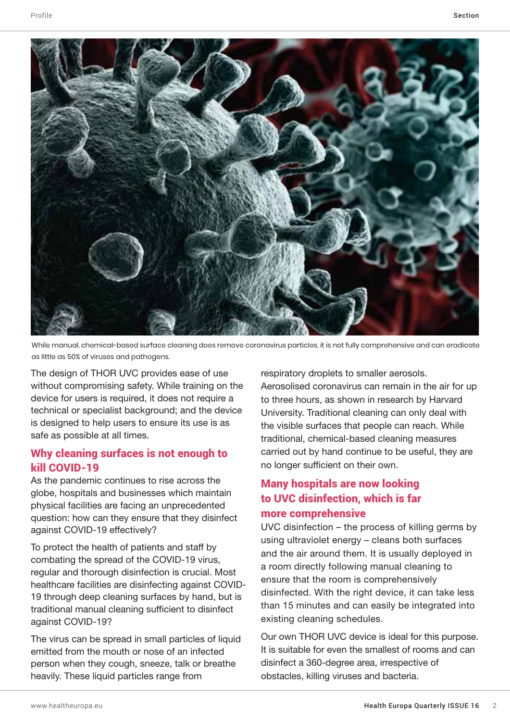

While manual, chemical-based surface cleaning does remove coronavirus particles, it is not fully comprehensive and can eradicate as little as 50% of viruses and pathogens.

The design of THOR UVC provides ease of use without compromising safety. While training on the device for users is required, it does not require a technical or specialist background; and the device is designed to help users to ensure its use is as safe as possible at all times.

### Why cleaning surfaces is not enough to kill COVID-19

As the pandemic continues to rise across the globe, hospitals and businesses which maintain physical facilities are facing an unprecedented question: how can they ensure that they disinfect against COVID-19 effectively?

To protect the health of patients and staff by combating the spread of the COVID-19 virus, regular and thorough disinfection is crucial. Most healthcare facilities are disinfecting against COVID-19 through deep cleaning surfaces by hand, but is traditional manual cleaning sufficient to disinfect against COVID-19?

The virus can be spread in small particles of liquid emitted from the mouth or nose of an infected person when they cough, sneeze, talk or breathe heavily. These liquid particles range from

respiratory droplets to smaller aerosols. Aerosolised coronavirus can remain in the air for up to three hours, as shown in research by Harvard University. Traditional cleaning can only deal with the visible surfaces that people can reach. While traditional, chemical-based cleaning measures carried out by hand continue to be useful, they are no longer sufficient on their own.

# Many hospitals are now looking to UVC disinfection, which is far more comprehensive

UVC disinfection – the process of killing germs by using ultraviolet energy – cleans both surfaces and the air around them. It is usually deployed in a room directly following manual cleaning to ensure that the room is comprehensively disinfected. With the right device, it can take less than 15 minutes and can easily be integrated into existing cleaning schedules.

Our own THOR UVC device is ideal for this purpose. It is suitable for even the smallest of rooms and can disinfect a 360-degree area, irrespective of obstacles, killing viruses and bacteria.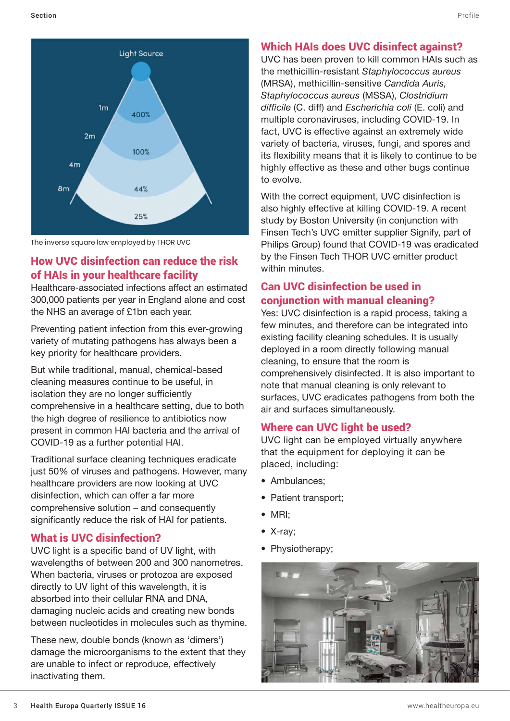

The inverse square law employed by THOR UVC

# How UVC disinfection can reduce the risk of HAIs in your healthcare facility

Healthcare-associated infections affect an estimated 300,000 patients per year in England alone and cost the NHS an average of £1bn each year.

Preventing patient infection from this ever-growing variety of mutating pathogens has always been a key priority for healthcare providers.

But while traditional, manual, chemical-based cleaning measures continue to be useful, in isolation they are no longer sufficiently comprehensive in a healthcare setting, due to both the high degree of resilience to antibiotics now present in common HAI bacteria and the arrival of COVID-19 as a further potential HAI.

Traditional surface cleaning techniques eradicate just 50% of viruses and pathogens. However, many healthcare providers are now looking at UVC disinfection, which can offer a far more comprehensive solution – and consequently significantly reduce the risk of HAI for patients.

### What is UVC disinfection?

UVC light is a specific band of UV light, with wavelengths of between 200 and 300 nanometres. When bacteria, viruses or protozoa are exposed directly to UV light of this wavelength, it is absorbed into their cellular RNA and DNA, damaging nucleic acids and creating new bonds between nucleotides in molecules such as thymine.

These new, double bonds (known as 'dimers') damage the microorganisms to the extent that they are unable to infect or reproduce, effectively inactivating them.

## Which HAIs does UVC disinfect against?

UVC has been proven to kill common HAIs such as the methicillin-resistant Staphylococcus aureus (MRSA), methicillin-sensitive Candida Auris, Staphylococcus aureus (MSSA), Clostridium difficile (C. diff) and Escherichia coli (E. coli) and multiple coronaviruses, including COVID-19. In fact, UVC is effective against an extremely wide variety of bacteria, viruses, fungi, and spores and its flexibility means that it is likely to continue to be highly effective as these and other bugs continue to evolve.

With the correct equipment, UVC disinfection is also highly effective at killing COVID-19. A recent study by Boston University (in conjunction with Finsen Tech's UVC emitter supplier Signify, part of Philips Group) found that COVID-19 was eradicated by the Finsen Tech THOR UVC emitter product within minutes.

# Can UVC disinfection be used in conjunction with manual cleaning?

Yes: UVC disinfection is a rapid process, taking a few minutes, and therefore can be integrated into existing facility cleaning schedules. It is usually deployed in a room directly following manual cleaning, to ensure that the room is comprehensively disinfected. It is also important to note that manual cleaning is only relevant to surfaces, UVC eradicates pathogens from both the air and surfaces simultaneously.

# Where can UVC light be used?

UVC light can be employed virtually anywhere that the equipment for deploying it can be placed, including:

- Ambulances;
- Patient transport;
- MRI;
- X-ray;
- Physiotherapy;